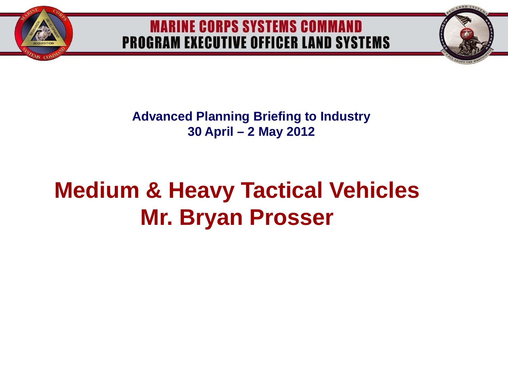

**Advanced Planning Briefing to Industry 30 April – 2 May 2012**

# **Medium & Heavy Tactical Vehicles Mr. Bryan Prosser**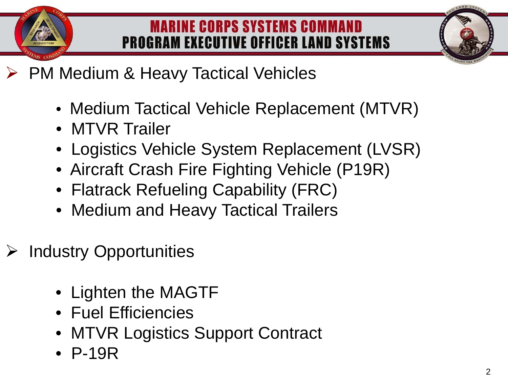

- $\triangleright$  PM Medium & Heavy Tactical Vehicles
	- Medium Tactical Vehicle Replacement (MTVR)
	- MTVR Trailer
	- Logistics Vehicle System Replacement (LVSR)
	- Aircraft Crash Fire Fighting Vehicle (P19R)
	- Flatrack Refueling Capability (FRC)
	- Medium and Heavy Tactical Trailers
- $\triangleright$  Industry Opportunities
	- Lighten the MAGTF
	- Fuel Efficiencies
	- MTVR Logistics Support Contract
	- P-19R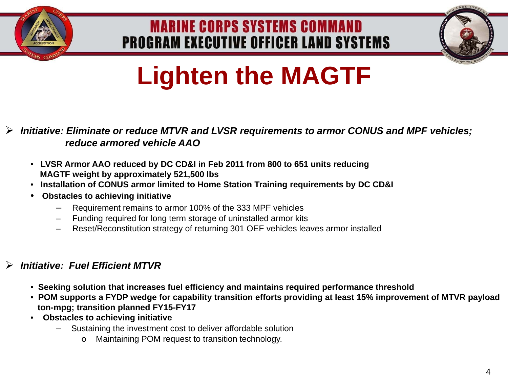



# **Lighten the MAGTF**

#### *Initiative: Eliminate or reduce MTVR and LVSR requirements to armor CONUS and MPF vehicles; reduce armored vehicle AAO*

- • **LVSR Armor AAO reduced by DC CD&I in Feb 2011 from 800 to 651 units reducing MAGTF weight by approximately 521,500 lbs**
- • **Installation of CONUS armor limited to Home Station Training requirements by DC CD&I**
- • **Obstacles to achieving initiative**
	- Requirement remains to armor 100% of the 333 MPF vehicles
	- Funding required for long term storage of uninstalled armor kits
	- Reset/Reconstitution strategy of returning 301 OEF vehicles leaves armor installed

#### *Initiative: Fuel Efficient MTVR*

- • **Seeking solution that increases fuel efficiency and maintains required performance threshold**
- • **POM supports a FYDP wedge for capability transition efforts providing at least 15% improvement of MTVR payload ton-mpg; transition planned FY15-FY17**
- • **Obstacles to achieving initiative**
	- Sustaining the investment cost to deliver affordable solution
		- o Maintaining POM request to transition technology.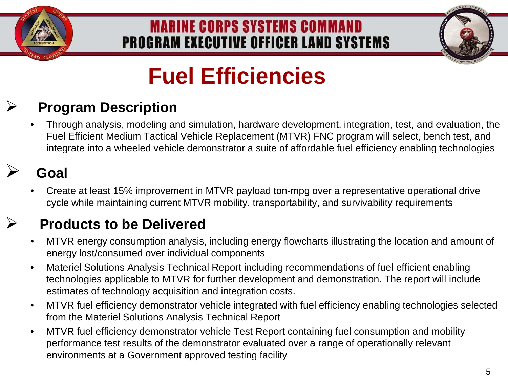



# **Fuel Efficiencies**

# **Program Description**

• Through analysis, modeling and simulation, hardware development, integration, test, and evaluation, the Fuel Efficient Medium Tactical Vehicle Replacement (MTVR) FNC program will select, bench test, and integrate into a wheeled vehicle demonstrator a suite of affordable fuel efficiency enabling technologies

## **Goal**

• Create at least 15% improvement in MTVR payload ton-mpg over a representative operational drive cycle while maintaining current MTVR mobility, transportability, and survivability requirements

### **Products to be Delivered**

- MTVR energy consumption analysis, including energy flowcharts illustrating the location and amount of energy lost/consumed over individual components
- Materiel Solutions Analysis Technical Report including recommendations of fuel efficient enabling technologies applicable to MTVR for further development and demonstration. The report will include estimates of technology acquisition and integration costs.
- MTVR fuel efficiency demonstrator vehicle integrated with fuel efficiency enabling technologies selected from the Materiel Solutions Analysis Technical Report
- MTVR fuel efficiency demonstrator vehicle Test Report containing fuel consumption and mobility performance test results of the demonstrator evaluated over a range of operationally relevant environments at a Government approved testing facility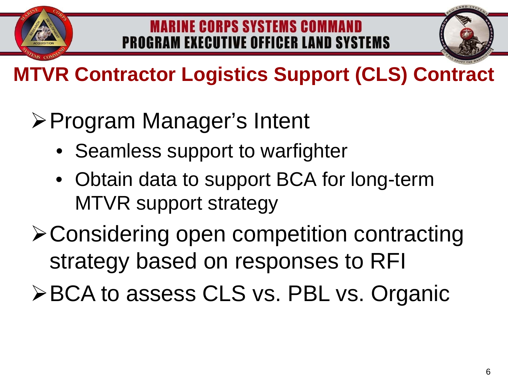



**MTVR Contractor Logistics Support (CLS) Contract** 

# **≻Program Manager's Intent**

- Seamless support to warfighter
- Obtain data to support BCA for long-term MTVR support strategy

Considering open competition contracting strategy based on responses to RFI

**≻BCA to assess CLS vs. PBL vs. Organic**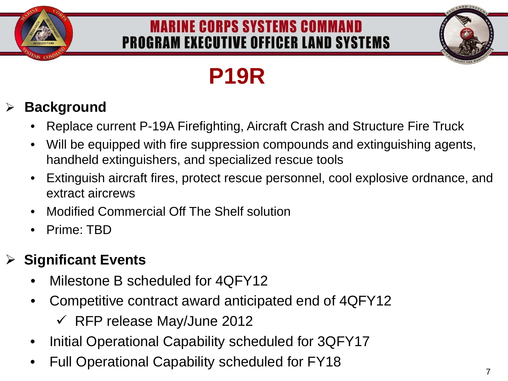



# **P19R**

# **Background**

- Replace current P-19A Firefighting, Aircraft Crash and Structure Fire Truck
- Will be equipped with fire suppression compounds and extinguishing agents, handheld extinguishers, and specialized rescue tools
- Extinguish aircraft fires, protect rescue personnel, cool explosive ordnance, and extract aircrews
- Modified Commercial Off The Shelf solution
- Prime: TBD

## **Significant Events**

- Milestone B scheduled for 4QFY12
- Competitive contract award anticipated end of 4QFY12
	- $\checkmark$  RFP release May/June 2012
- Initial Operational Capability scheduled for 3QFY17
- Full Operational Capability scheduled for FY18